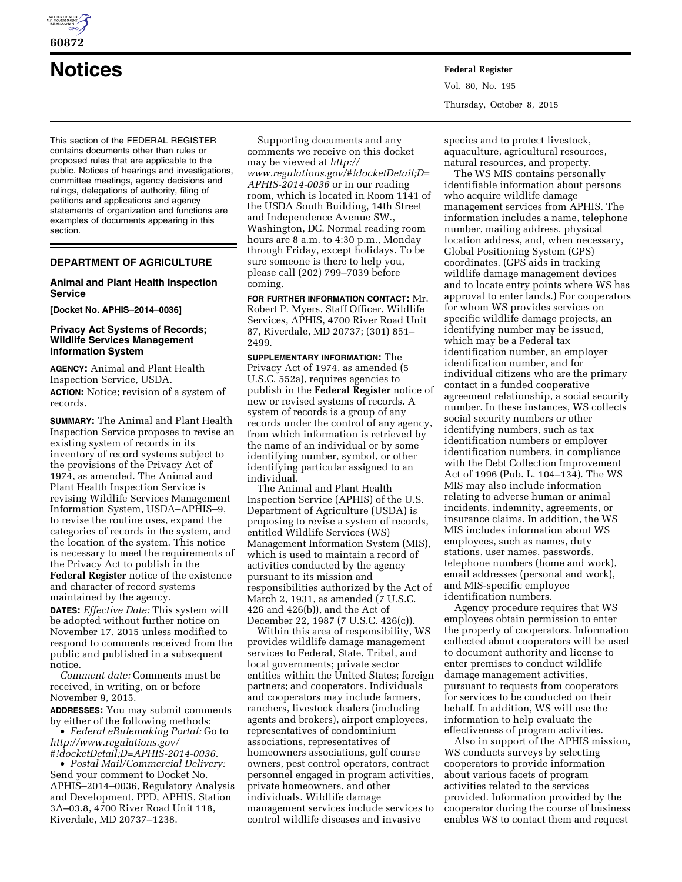

This section of the FEDERAL REGISTER contains documents other than rules or proposed rules that are applicable to the public. Notices of hearings and investigations, committee meetings, agency decisions and rulings, delegations of authority, filing of petitions and applications and agency statements of organization and functions are examples of documents appearing in this section.

# **DEPARTMENT OF AGRICULTURE**

# **Animal and Plant Health Inspection Service**

**[Docket No. APHIS–2014–0036]** 

# **Privacy Act Systems of Records; Wildlife Services Management Information System**

**AGENCY:** Animal and Plant Health Inspection Service, USDA. **ACTION:** Notice; revision of a system of records.

**SUMMARY:** The Animal and Plant Health Inspection Service proposes to revise an existing system of records in its inventory of record systems subject to the provisions of the Privacy Act of 1974, as amended. The Animal and Plant Health Inspection Service is revising Wildlife Services Management Information System, USDA–APHIS–9, to revise the routine uses, expand the categories of records in the system, and the location of the system. This notice is necessary to meet the requirements of the Privacy Act to publish in the **Federal Register** notice of the existence and character of record systems maintained by the agency.

**DATES:** *Effective Date:* This system will be adopted without further notice on November 17, 2015 unless modified to respond to comments received from the public and published in a subsequent notice.

*Comment date:* Comments must be received, in writing, on or before November 9, 2015.

**ADDRESSES:** You may submit comments by either of the following methods:

• *Federal eRulemaking Portal:* Go to *[http://www.regulations.gov/](http://www.regulations.gov/#!docketDetail;D=APHIS-2014-0036) [#!docketDetail;D=APHIS-2014-0036.](http://www.regulations.gov/#!docketDetail;D=APHIS-2014-0036)* 

• *Postal Mail/Commercial Delivery:*  Send your comment to Docket No. APHIS–2014–0036, Regulatory Analysis and Development, PPD, APHIS, Station 3A–03.8, 4700 River Road Unit 118, Riverdale, MD 20737–1238.

Supporting documents and any comments we receive on this docket may be viewed at *[http://](http://www.regulations.gov/#!docketDetail;D=APHIS-2014-0036) [www.regulations.gov/#!docketDetail;D=](http://www.regulations.gov/#!docketDetail;D=APHIS-2014-0036) [APHIS-2014-0036](http://www.regulations.gov/#!docketDetail;D=APHIS-2014-0036)* or in our reading room, which is located in Room 1141 of the USDA South Building, 14th Street and Independence Avenue SW., Washington, DC. Normal reading room hours are 8 a.m. to 4:30 p.m., Monday through Friday, except holidays. To be sure someone is there to help you, please call (202) 799–7039 before coming.

**FOR FURTHER INFORMATION CONTACT:** Mr. Robert P. Myers, Staff Officer, Wildlife Services, APHIS, 4700 River Road Unit 87, Riverdale, MD 20737; (301) 851– 2499.

**SUPPLEMENTARY INFORMATION:** The Privacy Act of 1974, as amended (5 U.S.C. 552a), requires agencies to publish in the **Federal Register** notice of new or revised systems of records. A system of records is a group of any records under the control of any agency, from which information is retrieved by the name of an individual or by some identifying number, symbol, or other identifying particular assigned to an individual.

The Animal and Plant Health Inspection Service (APHIS) of the U.S. Department of Agriculture (USDA) is proposing to revise a system of records, entitled Wildlife Services (WS) Management Information System (MIS), which is used to maintain a record of activities conducted by the agency pursuant to its mission and responsibilities authorized by the Act of March 2, 1931, as amended (7 U.S.C. 426 and 426(b)), and the Act of December 22, 1987 (7 U.S.C. 426(c)).

Within this area of responsibility, WS provides wildlife damage management services to Federal, State, Tribal, and local governments; private sector entities within the United States; foreign partners; and cooperators. Individuals and cooperators may include farmers, ranchers, livestock dealers (including agents and brokers), airport employees, representatives of condominium associations, representatives of homeowners associations, golf course owners, pest control operators, contract personnel engaged in program activities, private homeowners, and other individuals. Wildlife damage management services include services to control wildlife diseases and invasive

**Notices Federal Register** Vol. 80, No. 195 Thursday, October 8, 2015

> species and to protect livestock, aquaculture, agricultural resources, natural resources, and property.

The WS MIS contains personally identifiable information about persons who acquire wildlife damage management services from APHIS. The information includes a name, telephone number, mailing address, physical location address, and, when necessary, Global Positioning System (GPS) coordinates. (GPS aids in tracking wildlife damage management devices and to locate entry points where WS has approval to enter lands.) For cooperators for whom WS provides services on specific wildlife damage projects, an identifying number may be issued, which may be a Federal tax identification number, an employer identification number, and for individual citizens who are the primary contact in a funded cooperative agreement relationship, a social security number. In these instances, WS collects social security numbers or other identifying numbers, such as tax identification numbers or employer identification numbers, in compliance with the Debt Collection Improvement Act of 1996 (Pub. L. 104–134). The WS MIS may also include information relating to adverse human or animal incidents, indemnity, agreements, or insurance claims. In addition, the WS MIS includes information about WS employees, such as names, duty stations, user names, passwords, telephone numbers (home and work), email addresses (personal and work), and MIS-specific employee identification numbers.

Agency procedure requires that WS employees obtain permission to enter the property of cooperators. Information collected about cooperators will be used to document authority and license to enter premises to conduct wildlife damage management activities, pursuant to requests from cooperators for services to be conducted on their behalf. In addition, WS will use the information to help evaluate the effectiveness of program activities.

Also in support of the APHIS mission, WS conducts surveys by selecting cooperators to provide information about various facets of program activities related to the services provided. Information provided by the cooperator during the course of business enables WS to contact them and request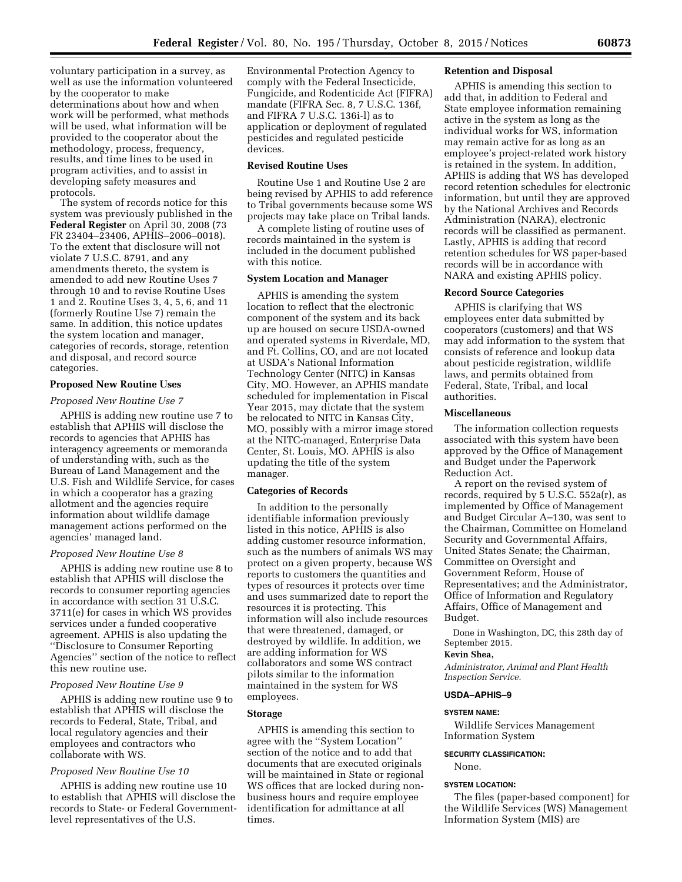voluntary participation in a survey, as well as use the information volunteered by the cooperator to make determinations about how and when work will be performed, what methods will be used, what information will be provided to the cooperator about the methodology, process, frequency, results, and time lines to be used in program activities, and to assist in developing safety measures and protocols.

The system of records notice for this system was previously published in the **Federal Register** on April 30, 2008 (73 FR 23404–23406, APHIS–2006–0018). To the extent that disclosure will not violate 7 U.S.C. 8791, and any amendments thereto, the system is amended to add new Routine Uses 7 through 10 and to revise Routine Uses 1 and 2. Routine Uses 3, 4, 5, 6, and 11 (formerly Routine Use 7) remain the same. In addition, this notice updates the system location and manager, categories of records, storage, retention and disposal, and record source categories.

# **Proposed New Routine Uses**

#### *Proposed New Routine Use 7*

APHIS is adding new routine use 7 to establish that APHIS will disclose the records to agencies that APHIS has interagency agreements or memoranda of understanding with, such as the Bureau of Land Management and the U.S. Fish and Wildlife Service, for cases in which a cooperator has a grazing allotment and the agencies require information about wildlife damage management actions performed on the agencies' managed land.

#### *Proposed New Routine Use 8*

APHIS is adding new routine use 8 to establish that APHIS will disclose the records to consumer reporting agencies in accordance with section 31 U.S.C. 3711(e) for cases in which WS provides services under a funded cooperative agreement. APHIS is also updating the ''Disclosure to Consumer Reporting Agencies'' section of the notice to reflect this new routine use.

## *Proposed New Routine Use 9*

APHIS is adding new routine use 9 to establish that APHIS will disclose the records to Federal, State, Tribal, and local regulatory agencies and their employees and contractors who collaborate with WS.

# *Proposed New Routine Use 10*

APHIS is adding new routine use 10 to establish that APHIS will disclose the records to State- or Federal Governmentlevel representatives of the U.S.

Environmental Protection Agency to comply with the Federal Insecticide, Fungicide, and Rodenticide Act (FIFRA) mandate (FIFRA Sec. 8, 7 U.S.C. 136f, and FIFRA 7 U.S.C. 136i-l) as to application or deployment of regulated pesticides and regulated pesticide devices.

#### **Revised Routine Uses**

Routine Use 1 and Routine Use 2 are being revised by APHIS to add reference to Tribal governments because some WS projects may take place on Tribal lands.

A complete listing of routine uses of records maintained in the system is included in the document published with this notice.

# **System Location and Manager**

APHIS is amending the system location to reflect that the electronic component of the system and its back up are housed on secure USDA-owned and operated systems in Riverdale, MD, and Ft. Collins, CO, and are not located at USDA's National Information Technology Center (NITC) in Kansas City, MO. However, an APHIS mandate scheduled for implementation in Fiscal Year 2015, may dictate that the system be relocated to NITC in Kansas City, MO, possibly with a mirror image stored at the NITC-managed, Enterprise Data Center, St. Louis, MO. APHIS is also updating the title of the system manager.

# **Categories of Records**

In addition to the personally identifiable information previously listed in this notice, APHIS is also adding customer resource information, such as the numbers of animals WS may protect on a given property, because WS reports to customers the quantities and types of resources it protects over time and uses summarized date to report the resources it is protecting. This information will also include resources that were threatened, damaged, or destroyed by wildlife. In addition, we are adding information for WS collaborators and some WS contract pilots similar to the information maintained in the system for WS employees.

# **Storage**

APHIS is amending this section to agree with the ''System Location'' section of the notice and to add that documents that are executed originals will be maintained in State or regional WS offices that are locked during nonbusiness hours and require employee identification for admittance at all times.

#### **Retention and Disposal**

APHIS is amending this section to add that, in addition to Federal and State employee information remaining active in the system as long as the individual works for WS, information may remain active for as long as an employee's project-related work history is retained in the system. In addition, APHIS is adding that WS has developed record retention schedules for electronic information, but until they are approved by the National Archives and Records Administration (NARA), electronic records will be classified as permanent. Lastly, APHIS is adding that record retention schedules for WS paper-based records will be in accordance with NARA and existing APHIS policy.

#### **Record Source Categories**

APHIS is clarifying that WS employees enter data submitted by cooperators (customers) and that WS may add information to the system that consists of reference and lookup data about pesticide registration, wildlife laws, and permits obtained from Federal, State, Tribal, and local authorities.

#### **Miscellaneous**

The information collection requests associated with this system have been approved by the Office of Management and Budget under the Paperwork Reduction Act.

A report on the revised system of records, required by 5 U.S.C. 552a(r), as implemented by Office of Management and Budget Circular A–130, was sent to the Chairman, Committee on Homeland Security and Governmental Affairs, United States Senate; the Chairman, Committee on Oversight and Government Reform, House of Representatives; and the Administrator, Office of Information and Regulatory Affairs, Office of Management and Budget.

Done in Washington, DC, this 28th day of September 2015.

#### **Kevin Shea,**

*Administrator, Animal and Plant Health Inspection Service.* 

#### **USDA–APHIS–9**

#### **SYSTEM NAME:**

Wildlife Services Management Information System

# **SECURITY CLASSIFICATION:**

None.

# **SYSTEM LOCATION:**

The files (paper-based component) for the Wildlife Services (WS) Management Information System (MIS) are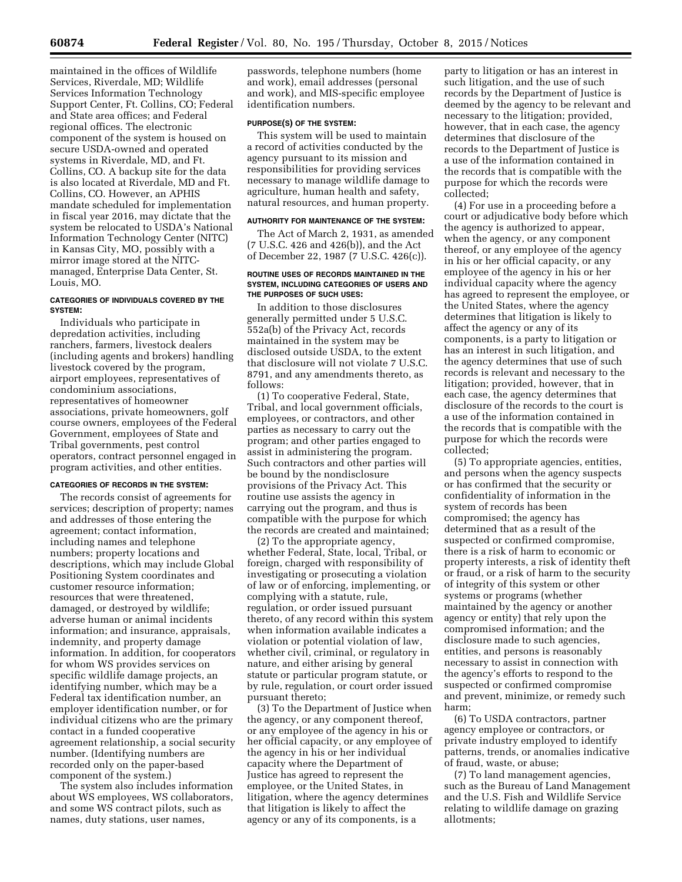maintained in the offices of Wildlife Services, Riverdale, MD; Wildlife Services Information Technology Support Center, Ft. Collins, CO; Federal and State area offices; and Federal regional offices. The electronic component of the system is housed on secure USDA-owned and operated systems in Riverdale, MD, and Ft. Collins, CO. A backup site for the data is also located at Riverdale, MD and Ft. Collins, CO. However, an APHIS mandate scheduled for implementation in fiscal year 2016, may dictate that the system be relocated to USDA's National Information Technology Center (NITC) in Kansas City, MO, possibly with a mirror image stored at the NITCmanaged, Enterprise Data Center, St. Louis, MO.

## **CATEGORIES OF INDIVIDUALS COVERED BY THE SYSTEM:**

Individuals who participate in depredation activities, including ranchers, farmers, livestock dealers (including agents and brokers) handling livestock covered by the program, airport employees, representatives of condominium associations, representatives of homeowner associations, private homeowners, golf course owners, employees of the Federal Government, employees of State and Tribal governments, pest control operators, contract personnel engaged in program activities, and other entities.

# **CATEGORIES OF RECORDS IN THE SYSTEM:**

The records consist of agreements for services; description of property; names and addresses of those entering the agreement; contact information, including names and telephone numbers; property locations and descriptions, which may include Global Positioning System coordinates and customer resource information; resources that were threatened, damaged, or destroyed by wildlife; adverse human or animal incidents information; and insurance, appraisals, indemnity, and property damage information. In addition, for cooperators for whom WS provides services on specific wildlife damage projects, an identifying number, which may be a Federal tax identification number, an employer identification number, or for individual citizens who are the primary contact in a funded cooperative agreement relationship, a social security number. (Identifying numbers are recorded only on the paper-based component of the system.)

The system also includes information about WS employees, WS collaborators, and some WS contract pilots, such as names, duty stations, user names,

passwords, telephone numbers (home and work), email addresses (personal and work), and MIS-specific employee identification numbers.

#### **PURPOSE(S) OF THE SYSTEM:**

This system will be used to maintain a record of activities conducted by the agency pursuant to its mission and responsibilities for providing services necessary to manage wildlife damage to agriculture, human health and safety, natural resources, and human property.

#### **AUTHORITY FOR MAINTENANCE OF THE SYSTEM:**

The Act of March 2, 1931, as amended (7 U.S.C. 426 and 426(b)), and the Act of December 22, 1987 (7 U.S.C. 426(c)).

#### **ROUTINE USES OF RECORDS MAINTAINED IN THE SYSTEM, INCLUDING CATEGORIES OF USERS AND THE PURPOSES OF SUCH USES:**

In addition to those disclosures generally permitted under 5 U.S.C. 552a(b) of the Privacy Act, records maintained in the system may be disclosed outside USDA, to the extent that disclosure will not violate 7 U.S.C. 8791, and any amendments thereto, as follows:

(1) To cooperative Federal, State, Tribal, and local government officials, employees, or contractors, and other parties as necessary to carry out the program; and other parties engaged to assist in administering the program. Such contractors and other parties will be bound by the nondisclosure provisions of the Privacy Act. This routine use assists the agency in carrying out the program, and thus is compatible with the purpose for which the records are created and maintained;

(2) To the appropriate agency, whether Federal, State, local, Tribal, or foreign, charged with responsibility of investigating or prosecuting a violation of law or of enforcing, implementing, or complying with a statute, rule, regulation, or order issued pursuant thereto, of any record within this system when information available indicates a violation or potential violation of law, whether civil, criminal, or regulatory in nature, and either arising by general statute or particular program statute, or by rule, regulation, or court order issued pursuant thereto;

(3) To the Department of Justice when the agency, or any component thereof, or any employee of the agency in his or her official capacity, or any employee of the agency in his or her individual capacity where the Department of Justice has agreed to represent the employee, or the United States, in litigation, where the agency determines that litigation is likely to affect the agency or any of its components, is a

party to litigation or has an interest in such litigation, and the use of such records by the Department of Justice is deemed by the agency to be relevant and necessary to the litigation; provided, however, that in each case, the agency determines that disclosure of the records to the Department of Justice is a use of the information contained in the records that is compatible with the purpose for which the records were collected;

(4) For use in a proceeding before a court or adjudicative body before which the agency is authorized to appear, when the agency, or any component thereof, or any employee of the agency in his or her official capacity, or any employee of the agency in his or her individual capacity where the agency has agreed to represent the employee, or the United States, where the agency determines that litigation is likely to affect the agency or any of its components, is a party to litigation or has an interest in such litigation, and the agency determines that use of such records is relevant and necessary to the litigation; provided, however, that in each case, the agency determines that disclosure of the records to the court is a use of the information contained in the records that is compatible with the purpose for which the records were collected;

(5) To appropriate agencies, entities, and persons when the agency suspects or has confirmed that the security or confidentiality of information in the system of records has been compromised; the agency has determined that as a result of the suspected or confirmed compromise, there is a risk of harm to economic or property interests, a risk of identity theft or fraud, or a risk of harm to the security of integrity of this system or other systems or programs (whether maintained by the agency or another agency or entity) that rely upon the compromised information; and the disclosure made to such agencies, entities, and persons is reasonably necessary to assist in connection with the agency's efforts to respond to the suspected or confirmed compromise and prevent, minimize, or remedy such harm;

(6) To USDA contractors, partner agency employee or contractors, or private industry employed to identify patterns, trends, or anomalies indicative of fraud, waste, or abuse;

(7) To land management agencies, such as the Bureau of Land Management and the U.S. Fish and Wildlife Service relating to wildlife damage on grazing allotments;